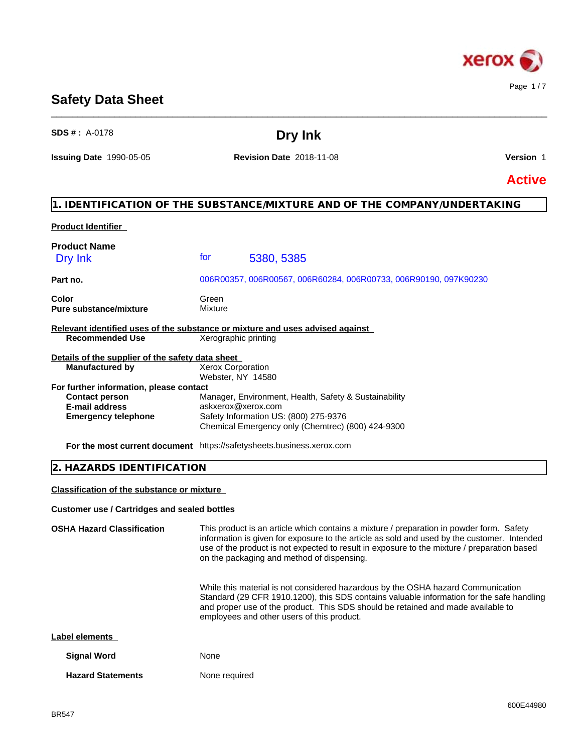

## **Safety Data Sheet**

| <b>SDS # : A-0178</b>                               | Dry Ink                                                                                                                                                                                                                                                                                                                              |               |  |
|-----------------------------------------------------|--------------------------------------------------------------------------------------------------------------------------------------------------------------------------------------------------------------------------------------------------------------------------------------------------------------------------------------|---------------|--|
| <b>Issuing Date 1990-05-05</b>                      | <b>Revision Date 2018-11-08</b>                                                                                                                                                                                                                                                                                                      | Version 1     |  |
|                                                     |                                                                                                                                                                                                                                                                                                                                      | <b>Active</b> |  |
|                                                     | 1. IDENTIFICATION OF THE SUBSTANCE/MIXTURE AND OF THE COMPANY/UNDERTAKING                                                                                                                                                                                                                                                            |               |  |
| <b>Product Identifier</b>                           |                                                                                                                                                                                                                                                                                                                                      |               |  |
| <b>Product Name</b>                                 |                                                                                                                                                                                                                                                                                                                                      |               |  |
| Dry Ink                                             | tor<br>5380, 5385                                                                                                                                                                                                                                                                                                                    |               |  |
| Part no.                                            | 006R00357, 006R00567, 006R60284, 006R00733, 006R90190, 097K90230                                                                                                                                                                                                                                                                     |               |  |
| Color                                               | Green                                                                                                                                                                                                                                                                                                                                |               |  |
| <b>Pure substance/mixture</b>                       | Mixture                                                                                                                                                                                                                                                                                                                              |               |  |
|                                                     | Relevant identified uses of the substance or mixture and uses advised against                                                                                                                                                                                                                                                        |               |  |
| <b>Recommended Use</b>                              | Xerographic printing                                                                                                                                                                                                                                                                                                                 |               |  |
| Details of the supplier of the safety data sheet    |                                                                                                                                                                                                                                                                                                                                      |               |  |
| <b>Manufactured by</b>                              | Xerox Corporation<br>Webster, NY 14580                                                                                                                                                                                                                                                                                               |               |  |
| For further information, please contact             |                                                                                                                                                                                                                                                                                                                                      |               |  |
| <b>Contact person</b><br>E-mail address             | Manager, Environment, Health, Safety & Sustainability<br>askxerox@xerox.com                                                                                                                                                                                                                                                          |               |  |
| <b>Emergency telephone</b>                          | Safety Information US: (800) 275-9376                                                                                                                                                                                                                                                                                                |               |  |
|                                                     | Chemical Emergency only (Chemtrec) (800) 424-9300                                                                                                                                                                                                                                                                                    |               |  |
|                                                     | For the most current document https://safetysheets.business.xerox.com                                                                                                                                                                                                                                                                |               |  |
| 2. HAZARDS IDENTIFICATION                           |                                                                                                                                                                                                                                                                                                                                      |               |  |
| <b>Classification of the substance or mixture</b>   |                                                                                                                                                                                                                                                                                                                                      |               |  |
| <b>Customer use / Cartridges and sealed bottles</b> |                                                                                                                                                                                                                                                                                                                                      |               |  |
| <b>OSHA Hazard Classification</b>                   | This product is an article which contains a mixture / preparation in powder form. Safety<br>information is given for exposure to the article as sold and used by the customer. Intended<br>use of the product is not expected to result in exposure to the mixture / preparation based<br>on the packaging and method of dispensing. |               |  |
|                                                     | While this material is not considered hazardous by the OSHA hazard Communication<br>Standard (29 CFR 1910.1200), this SDS contains valuable information for the safe handling<br>and proper use of the product. This SDS should be retained and made available to<br>employees and other users of this product.                      |               |  |
| Label elements                                      |                                                                                                                                                                                                                                                                                                                                      |               |  |
| <b>Signal Word</b>                                  | None                                                                                                                                                                                                                                                                                                                                 |               |  |
| <b>Hazard Statements</b>                            | None required                                                                                                                                                                                                                                                                                                                        |               |  |

\_\_\_\_\_\_\_\_\_\_\_\_\_\_\_\_\_\_\_\_\_\_\_\_\_\_\_\_\_\_\_\_\_\_\_\_\_\_\_\_\_\_\_\_\_\_\_\_\_\_\_\_\_\_\_\_\_\_\_\_\_\_\_\_\_\_\_\_\_\_\_\_\_\_\_\_\_\_\_\_\_\_\_\_\_\_\_\_\_\_\_\_\_\_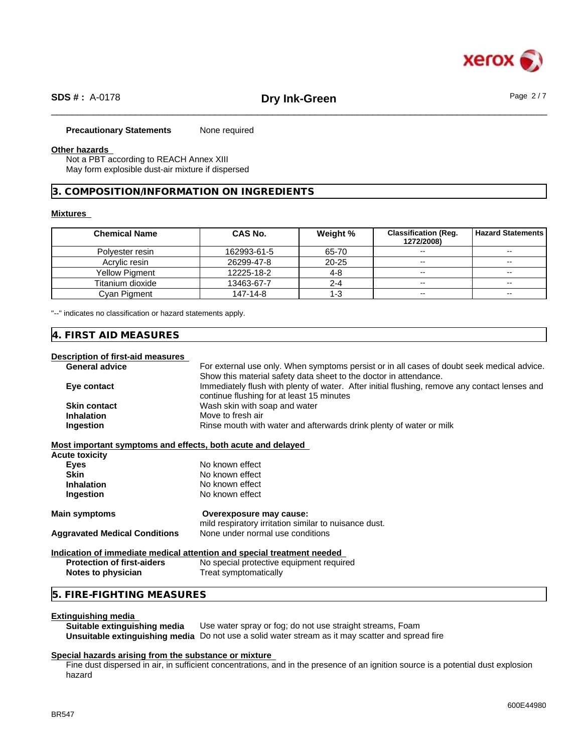

### **Precautionary Statements** None required

### **Other hazards**

Not a PBT according to REACH Annex XIII May form explosible dust-air mixture if dispersed

### **3. COMPOSITION/INFORMATION ON INGREDIENTS**

### **Mixtures**

| <b>Chemical Name</b>  | CAS No.     | Weight %  | <b>Classification (Req.</b><br>1272/2008) | <b>Hazard Statements I</b> |
|-----------------------|-------------|-----------|-------------------------------------------|----------------------------|
| Polyester resin       | 162993-61-5 | 65-70     | $\overline{\phantom{a}}$                  | $- -$                      |
| Acrylic resin         | 26299-47-8  | $20 - 25$ | $\overline{\phantom{a}}$                  | $\sim$                     |
| <b>Yellow Pigment</b> | 12225-18-2  | 4-8       | $\sim$ $\sim$                             | $- -$                      |
| Titanium dioxide      | 13463-67-7  | 2-4       | $\overline{\phantom{a}}$                  | $\sim$                     |
| Cvan Pigment          | 147-14-8    | د- י      | $\sim$ $\sim$                             | $- -$                      |

"--" indicates no classification or hazard statements apply.

## **4. FIRST AID MEASURES**

### **Description of first-aid measures**

| Description of inst-aid incasures                           |                                                                                               |  |  |  |
|-------------------------------------------------------------|-----------------------------------------------------------------------------------------------|--|--|--|
| <b>General advice</b>                                       | For external use only. When symptoms persist or in all cases of doubt seek medical advice.    |  |  |  |
|                                                             | Show this material safety data sheet to the doctor in attendance.                             |  |  |  |
| Eye contact                                                 | Immediately flush with plenty of water. After initial flushing, remove any contact lenses and |  |  |  |
|                                                             | continue flushing for at least 15 minutes                                                     |  |  |  |
| <b>Skin contact</b>                                         | Wash skin with soap and water                                                                 |  |  |  |
| <b>Inhalation</b>                                           | Move to fresh air                                                                             |  |  |  |
| Ingestion                                                   | Rinse mouth with water and afterwards drink plenty of water or milk                           |  |  |  |
| Most important symptoms and effects, both acute and delayed |                                                                                               |  |  |  |
| <b>Acute toxicity</b>                                       |                                                                                               |  |  |  |
| Eyes                                                        | No known effect                                                                               |  |  |  |
| <b>Skin</b>                                                 | No known effect                                                                               |  |  |  |
| <b>Inhalation</b>                                           | No known effect                                                                               |  |  |  |
| Ingestion                                                   | No known effect                                                                               |  |  |  |
| <b>Main symptoms</b>                                        | Overexposure may cause:                                                                       |  |  |  |
|                                                             | mild respiratory irritation similar to nuisance dust.                                         |  |  |  |
| <b>Aggravated Medical Conditions</b>                        | None under normal use conditions                                                              |  |  |  |
|                                                             | Indication of immediate medical attention and special treatment needed                        |  |  |  |
| <b>Protection of first-aiders</b>                           | No special protective equipment required                                                      |  |  |  |
| Notes to physician                                          | Treat symptomatically                                                                         |  |  |  |
| 5. FIRE-FIGHTING MEASURES                                   |                                                                                               |  |  |  |

#### **Extinguishing media**

**Suitable extinguishing media** Use water spray or fog; do not use straight streams, Foam **Unsuitable extinguishing media** Do not use a solid water stream as it may scatterand spread fire

### **Special hazards arising from the substance or mixture**

Fine dust dispersed in air, in sufficient concentrations, and in the presence of an ignition source is a potential dust explosion hazard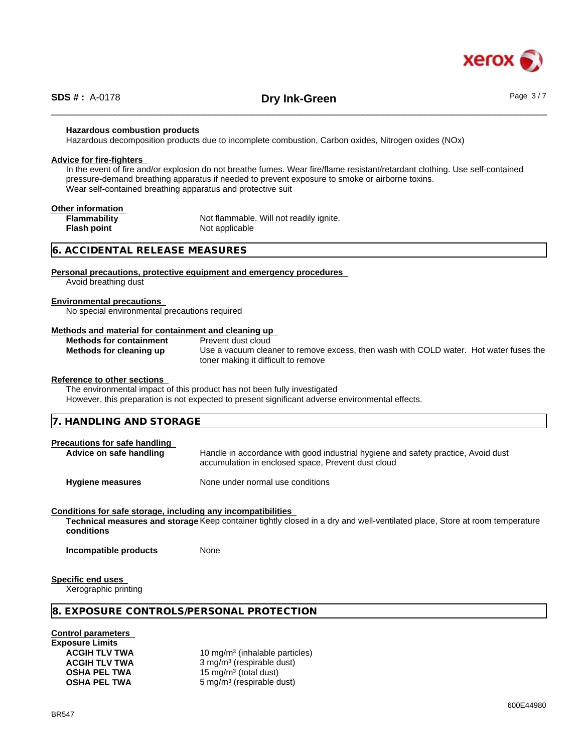

# \_\_\_\_\_\_\_\_\_\_\_\_\_\_\_\_\_\_\_\_\_\_\_\_\_\_\_\_\_\_\_\_\_\_\_\_\_\_\_\_\_\_\_\_\_\_\_\_\_\_\_\_\_\_\_\_\_\_\_\_\_\_\_\_\_\_\_\_\_\_\_\_\_\_\_\_\_\_\_\_\_\_\_\_\_\_\_\_\_\_\_\_\_\_ **SDS # :** A-0178 **Dry Ink-Green** Page 3 / 7

### **Hazardous combustion products**

Hazardous decomposition products due to incomplete combustion, Carbon oxides, Nitrogen oxides (NOx)

#### **Advice for fire-fighters**

In the event of fire and/or explosion do not breathe fumes. Wear fire/flame resistant/retardant clothing. Use self-contained pressure-demand breathing apparatus if needed to prevent exposure to smoke or airborne toxins. Wear self-contained breathing apparatus and protective suit

### **Other information**

**Flash point** Not applicable

**Flammability** Not flammable. Will not readily ignite.

### **6. ACCIDENTAL RELEASE MEASURES**

#### **Personal precautions, protective equipment and emergency procedures**

Avoid breathing dust

#### **Environmental precautions**

No special environmental precautions required

### **Methods and material for containment and cleaning up**

| <b>Methods for containment</b> | Prevent dust cloud                                                                    |
|--------------------------------|---------------------------------------------------------------------------------------|
| Methods for cleaning up        | Use a vacuum cleaner to remove excess, then wash with COLD water. Hot water fuses the |
|                                | toner making it difficult to remove                                                   |

#### **Reference to other sections**

The environmental impact of this product has not been fully investigated

However, this preparation is not expected to present significant adverse environmental effects.

| 7. HANDLING AND STORAGE       |                                                                                                                                         |  |
|-------------------------------|-----------------------------------------------------------------------------------------------------------------------------------------|--|
| Precautions for safe handling |                                                                                                                                         |  |
| Advice on safe handling       | Handle in accordance with good industrial hygiene and safety practice, Avoid dust<br>accumulation in enclosed space, Prevent dust cloud |  |

**Hygiene measures** None under normal use conditions

### **Conditions for safe storage, including any incompatibilities**

**Technical measures and storage** Keep container tightly closed in a dry and well-ventilated place, Store at room temperature **conditions**

**Incompatible products** None

**Specific end uses**

Xerographic printing

### **8. EXPOSURE CONTROLS/PERSONAL PROTECTION**

**Control parameters**

**Exposure Limits**

**ACGIH TLV TWA** 10 mg/m<sup>3</sup> (inhalable particles) **ACGIH TLV TWA** 3 mg/m<sup>3</sup> (respirable dust) **OSHA PEL TWA** 15 mg/m<sup>3</sup> (total dust) **OSHA PEL TWA** 5 mg/m<sup>3</sup> (respirable dust)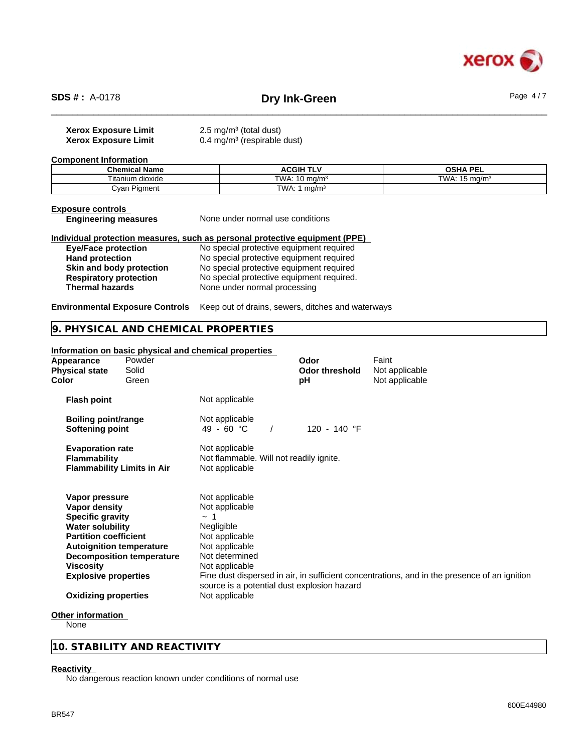

# \_\_\_\_\_\_\_\_\_\_\_\_\_\_\_\_\_\_\_\_\_\_\_\_\_\_\_\_\_\_\_\_\_\_\_\_\_\_\_\_\_\_\_\_\_\_\_\_\_\_\_\_\_\_\_\_\_\_\_\_\_\_\_\_\_\_\_\_\_\_\_\_\_\_\_\_\_\_\_\_\_\_\_\_\_\_\_\_\_\_\_\_\_\_ **SDS # :** A-0178 **Dry Ink-Green** Page 4 / 7

| <b>Xerox Exposure Limit</b> | 2.5 mg/m <sup>3</sup> (total dust)     |
|-----------------------------|----------------------------------------|
| <b>Xerox Exposure Limit</b> | $0.4 \text{ mg/m}^3$ (respirable dust) |

**Component Information**

| <b>Chemical Name</b>            | .<br><b>CGIH T</b>        | <b>OSHA PEL</b>              |
|---------------------------------|---------------------------|------------------------------|
| $- \cdot$ .<br>Fitanium dioxide | TWA<br>`mɑ/m∘             | TW,<br>∴ma/m<br>$\mathbf{r}$ |
| -<br>Cvan<br>Pigment            | TWA.<br>ma/m <sup>3</sup> |                              |

## **Exposure controls**<br>**Engineering measures**

**None under normal use conditions** 

**Individual protection measures, such as personal protective equipment (PPE) Eye/Face protection** No special protective equipment required

**Hand protection** No special protective equipment required **Skin and body protection** No special protective equipment required **Respiratory protection** No special protective equipment required. **Respiratory protection** No special protective equipment required.<br> **Thermal hazards** None under normal processing **Thermal hazards** None under normal processing

**Environmental Exposure Controls** Keep out of drains, sewers, ditches and waterways

### **9. PHYSICAL AND CHEMICAL PROPERTIES**

### **Information on basic physical and chemical properties**

| Appearance<br><b>Physical state</b><br>Color                                                                                                                                                         | Powder<br>Solid<br>Green          |                                                                                                                                                                                   | Odor<br><b>Odor threshold</b><br>рH | Faint<br>Not applicable<br>Not applicable                                                    |
|------------------------------------------------------------------------------------------------------------------------------------------------------------------------------------------------------|-----------------------------------|-----------------------------------------------------------------------------------------------------------------------------------------------------------------------------------|-------------------------------------|----------------------------------------------------------------------------------------------|
| <b>Flash point</b>                                                                                                                                                                                   |                                   | Not applicable                                                                                                                                                                    |                                     |                                                                                              |
| <b>Boiling point/range</b><br>Softening point                                                                                                                                                        |                                   | Not applicable<br>49 - 60 °C                                                                                                                                                      | 120 - 140 °F                        |                                                                                              |
| <b>Evaporation rate</b><br>Flammability                                                                                                                                                              | <b>Flammability Limits in Air</b> | Not applicable<br>Not flammable. Will not readily ignite.<br>Not applicable                                                                                                       |                                     |                                                                                              |
| Vapor pressure<br>Vapor density<br><b>Specific gravity</b><br><b>Water solubility</b><br><b>Partition coefficient</b><br><b>Autoignition temperature</b><br>Viscosity<br><b>Explosive properties</b> | <b>Decomposition temperature</b>  | Not applicable<br>Not applicable<br>$\sim$ 1<br>Negligible<br>Not applicable<br>Not applicable<br>Not determined<br>Not applicable<br>source is a potential dust explosion hazard |                                     | Fine dust dispersed in air, in sufficient concentrations, and in the presence of an ignition |
| <b>Oxidizing properties</b>                                                                                                                                                                          |                                   | Not applicable                                                                                                                                                                    |                                     |                                                                                              |
|                                                                                                                                                                                                      |                                   |                                                                                                                                                                                   |                                     |                                                                                              |

#### **Other information**

None

### **10. STABILITY AND REACTIVITY**

#### **Reactivity**

No dangerous reaction known under conditions of normal use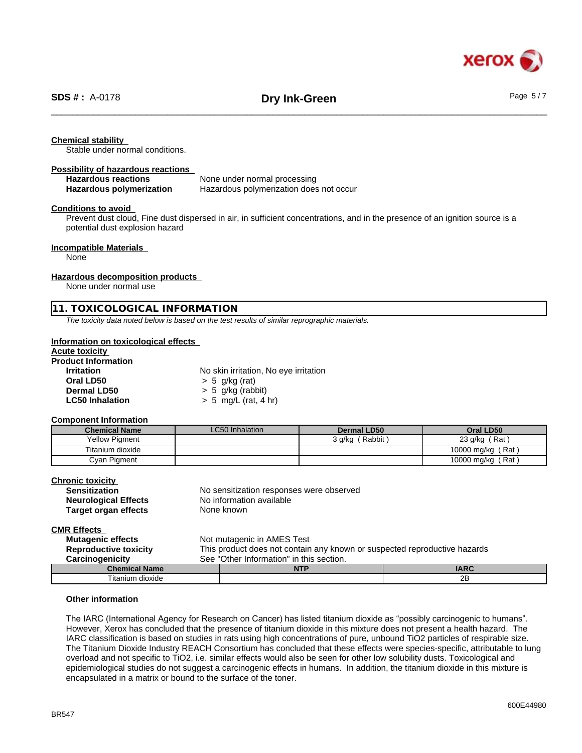

### **Chemical stability**

Stable under normal conditions.

#### **Possibility of hazardous reactions**

**Hazardous reactions**<br> **Hazardous polymerization Hazardous polymerization Hazardous polymerization Hazardous polymerization Hazardous polymerization does not occur** 

### **Conditions to avoid**

Prevent dust cloud, Fine dust dispersed in air, in sufficient concentrations, and in the presence of an ignition source is a potential dust explosion hazard

### **Incompatible Materials**

None

### **Hazardous decomposition products**

None under normal use

### **11. TOXICOLOGICAL INFORMATION**

*The toxicity data noted below is based on the test results of similar reprographic materials.*

#### **Information on toxicological effects**

## **Acute toxicity**

| <b>Product Information</b> |                                       |
|----------------------------|---------------------------------------|
| <b>Irritation</b>          | No skin irritation, No eye irritation |
| Oral LD50                  | $> 5$ g/kg (rat)                      |
| Dermal LD50                | $> 5$ g/kg (rabbit)                   |
| <b>LC50 Inhalation</b>     | $> 5$ mg/L (rat, 4 hr)                |

#### **Component Information**

| <b>Chemical Name</b>  | LC50 Inhalation | Dermal LD50        | Oral LD50         |
|-----------------------|-----------------|--------------------|-------------------|
| <b>Yellow Pigment</b> |                 | (Rabbit)<br>3 a/ka | Rat<br>23 g/kg    |
| Titanium dioxide      |                 |                    | 10000 mg/kg (Rat) |
| Cyan Pigment          |                 |                    | 10000 mg/kg (Rat) |

## **Chronic toxicity**

| עוווטוווט נטגוטונץ          |                                          |
|-----------------------------|------------------------------------------|
| <b>Sensitization</b>        | No sensitization responses were observed |
| <b>Neurological Effects</b> | No information available                 |
| Target organ effects        | None known                               |
|                             |                                          |

#### **CMR Effects**

| <b>Mutagenic effects</b><br><b>Reproductive toxicity</b><br>Carcinogenicity |  | Not mutagenic in AMES Test<br>This product does not contain any known or suspected reproductive hazards<br>See "Other Information" in this section. |             |  |
|-----------------------------------------------------------------------------|--|-----------------------------------------------------------------------------------------------------------------------------------------------------|-------------|--|
| <b>Chemical Name</b>                                                        |  | <b>NTP</b>                                                                                                                                          | <b>IARC</b> |  |
| Titanium dioxide                                                            |  |                                                                                                                                                     | 2B          |  |

#### **Other information**

The IARC (International Agency for Research on Cancer) has listed titanium dioxide as "possibly carcinogenic to humans". However, Xerox has concluded that the presence of titanium dioxide in this mixture does not present a health hazard. The IARC classification is based on studies in rats using high concentrations of pure, unbound TiO2 particles of respirable size. The Titanium Dioxide Industry REACH Consortium has concluded that these effects were species-specific, attributable to lung overload and not specific to TiO2, i.e. similar effects would also be seen for other low solubility dusts. Toxicological and epidemiological studies do not suggest a carcinogenic effects in humans. In addition, the titanium dioxide in this mixture is encapsulated in a matrix or bound to the surface of the toner.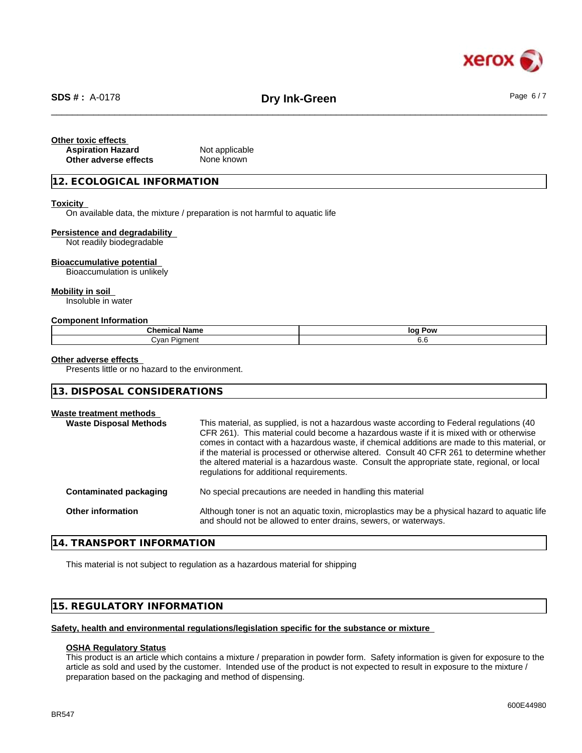

# \_\_\_\_\_\_\_\_\_\_\_\_\_\_\_\_\_\_\_\_\_\_\_\_\_\_\_\_\_\_\_\_\_\_\_\_\_\_\_\_\_\_\_\_\_\_\_\_\_\_\_\_\_\_\_\_\_\_\_\_\_\_\_\_\_\_\_\_\_\_\_\_\_\_\_\_\_\_\_\_\_\_\_\_\_\_\_\_\_\_\_\_\_\_ **SDS # :** A-0178 **Dry Ink-Green** Page 6 / 7

### **Other toxic effects Aspiration Hazard** Not applicable **Other adverse effects** None known

### **12. ECOLOGICAL INFORMATION**

### **Toxicity**

On available data, the mixture / preparation is not harmful to aquatic life

#### **Persistence and degradability**

Not readily biodegradable

#### **Bioaccumulative potential**

Bioaccumulation is unlikely

#### **Mobility in soil**

Insoluble in water

#### **Component Information**

| - -<br>-<br>$\mathsf{Cher}$<br>Name<br>шкаг | loq<br>Pow |
|---------------------------------------------|------------|
| `.var<br>n n n<br>vai                       | O.C        |

### **Other adverse effects**

Presents little or no hazard to the environment.

### **13. DISPOSAL CONSIDERATIONS**

### **Waste treatment methods**

| This material, as supplied, is not a hazardous waste according to Federal regulations (40)<br>CFR 261). This material could become a hazardous waste if it is mixed with or otherwise<br>comes in contact with a hazardous waste, if chemical additions are made to this material, or<br>if the material is processed or otherwise altered. Consult 40 CFR 261 to determine whether<br>the altered material is a hazardous waste. Consult the appropriate state, regional, or local<br>regulations for additional requirements. |
|---------------------------------------------------------------------------------------------------------------------------------------------------------------------------------------------------------------------------------------------------------------------------------------------------------------------------------------------------------------------------------------------------------------------------------------------------------------------------------------------------------------------------------|
| No special precautions are needed in handling this material                                                                                                                                                                                                                                                                                                                                                                                                                                                                     |
| Although toner is not an aquatic toxin, microplastics may be a physical hazard to aquatic life<br>and should not be allowed to enter drains, sewers, or waterways.                                                                                                                                                                                                                                                                                                                                                              |
|                                                                                                                                                                                                                                                                                                                                                                                                                                                                                                                                 |

### **14. TRANSPORT INFORMATION**

This material is not subject to regulation as a hazardous material for shipping

## **15. REGULATORY INFORMATION**

### **Safety, health and environmental regulations/legislation specific for the substance or mixture**

### **OSHA Regulatory Status**

This product is an article which contains a mixture / preparation in powder form. Safety information is given for exposure to the article as sold and used by the customer. Intended use of the product is not expected to result in exposure to the mixture / preparation based on the packaging and method of dispensing.